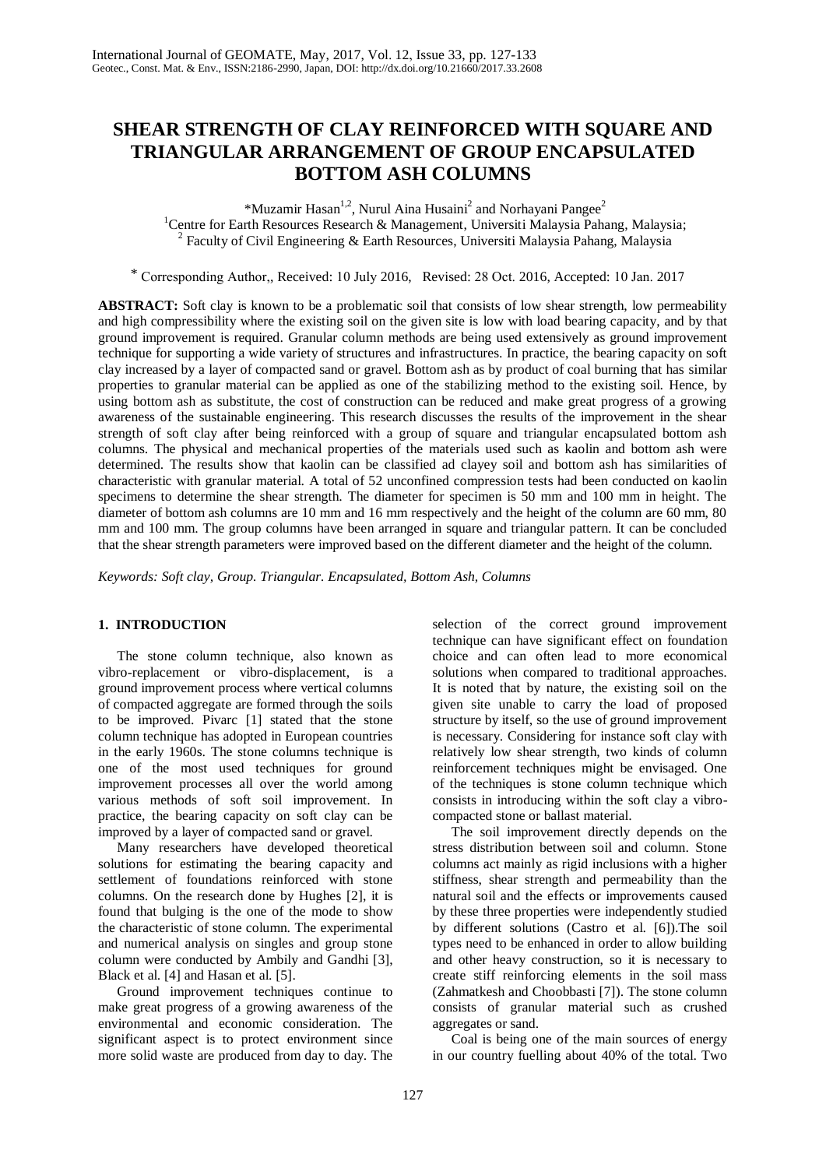# **SHEAR STRENGTH OF CLAY REINFORCED WITH SQUARE AND TRIANGULAR ARRANGEMENT OF GROUP ENCAPSULATED BOTTOM ASH COLUMNS**

\*Muzamir Hasan<sup>1,2</sup>, Nurul Aina Husaini<sup>2</sup> and Norhayani Pangee<sup>2</sup> <sup>1</sup>Centre for Earth Resources Research & Management, Universiti Malaysia Pahang, Malaysia; <sup>2</sup> Faculty of Civil Engineering & Earth Resources, Universiti Malaysia Pahang, Malaysia

\* Corresponding Author,, Received: 10 July 2016, Revised: 28 Oct. 2016, Accepted: 10 Jan. 2017

**ABSTRACT:** Soft clay is known to be a problematic soil that consists of low shear strength, low permeability and high compressibility where the existing soil on the given site is low with load bearing capacity, and by that ground improvement is required. Granular column methods are being used extensively as ground improvement technique for supporting a wide variety of structures and infrastructures. In practice, the bearing capacity on soft clay increased by a layer of compacted sand or gravel. Bottom ash as by product of coal burning that has similar properties to granular material can be applied as one of the stabilizing method to the existing soil. Hence, by using bottom ash as substitute, the cost of construction can be reduced and make great progress of a growing awareness of the sustainable engineering. This research discusses the results of the improvement in the shear strength of soft clay after being reinforced with a group of square and triangular encapsulated bottom ash columns. The physical and mechanical properties of the materials used such as kaolin and bottom ash were determined. The results show that kaolin can be classified ad clayey soil and bottom ash has similarities of characteristic with granular material. A total of 52 unconfined compression tests had been conducted on kaolin specimens to determine the shear strength. The diameter for specimen is 50 mm and 100 mm in height. The diameter of bottom ash columns are 10 mm and 16 mm respectively and the height of the column are 60 mm, 80 mm and 100 mm. The group columns have been arranged in square and triangular pattern. It can be concluded that the shear strength parameters were improved based on the different diameter and the height of the column.

*Keywords: Soft clay, Group. Triangular. Encapsulated, Bottom Ash, Columns* 

# **1. INTRODUCTION**

The stone column technique, also known as vibro-replacement or vibro-displacement, is a ground improvement process where vertical columns of compacted aggregate are formed through the soils to be improved. Pivarc [1] stated that the stone column technique has adopted in European countries in the early 1960s. The stone columns technique is one of the most used techniques for ground improvement processes all over the world among various methods of soft soil improvement. In practice, the bearing capacity on soft clay can be improved by a layer of compacted sand or gravel.

Many researchers have developed theoretical solutions for estimating the bearing capacity and settlement of foundations reinforced with stone columns. On the research done by Hughes [2], it is found that bulging is the one of the mode to show the characteristic of stone column. The experimental and numerical analysis on singles and group stone column were conducted by Ambily and Gandhi [3], Black et al. [4] and Hasan et al. [5].

Ground improvement techniques continue to make great progress of a growing awareness of the environmental and economic consideration. The significant aspect is to protect environment since more solid waste are produced from day to day. The

selection of the correct ground improvement technique can have significant effect on foundation choice and can often lead to more economical solutions when compared to traditional approaches. It is noted that by nature, the existing soil on the given site unable to carry the load of proposed structure by itself, so the use of ground improvement is necessary. Considering for instance soft clay with relatively low shear strength, two kinds of column reinforcement techniques might be envisaged. One of the techniques is stone column technique which consists in introducing within the soft clay a vibrocompacted stone or ballast material.

The soil improvement directly depends on the stress distribution between soil and column. Stone columns act mainly as rigid inclusions with a higher stiffness, shear strength and permeability than the natural soil and the effects or improvements caused by these three properties were independently studied by different solutions (Castro et al. [6]).The soil types need to be enhanced in order to allow building and other heavy construction, so it is necessary to create stiff reinforcing elements in the soil mass (Zahmatkesh and Choobbasti [7]). The stone column consists of granular material such as crushed aggregates or sand.

Coal is being one of the main sources of energy in our country fuelling about 40% of the total. Two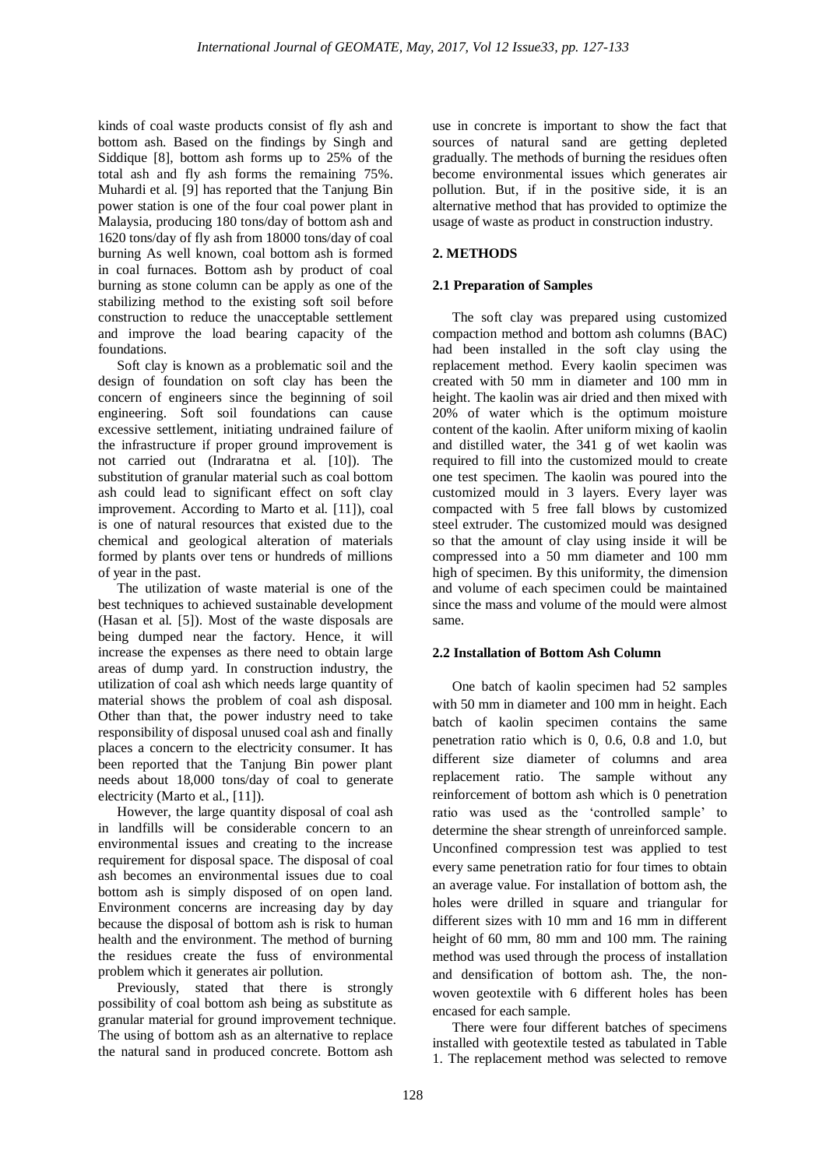kinds of coal waste products consist of fly ash and bottom ash. Based on the findings by Singh and Siddique [8], bottom ash forms up to 25% of the total ash and fly ash forms the remaining 75%. Muhardi et al. [9] has reported that the Tanjung Bin power station is one of the four coal power plant in Malaysia, producing 180 tons/day of bottom ash and 1620 tons/day of fly ash from 18000 tons/day of coal burning As well known, coal bottom ash is formed in coal furnaces. Bottom ash by product of coal burning as stone column can be apply as one of the stabilizing method to the existing soft soil before construction to reduce the unacceptable settlement and improve the load bearing capacity of the foundations.

Soft clay is known as a problematic soil and the design of foundation on soft clay has been the concern of engineers since the beginning of soil engineering. Soft soil foundations can cause excessive settlement, initiating undrained failure of the infrastructure if proper ground improvement is not carried out (Indraratna et al. [10]). The substitution of granular material such as coal bottom ash could lead to significant effect on soft clay improvement. According to Marto et al. [11]), coal is one of natural resources that existed due to the chemical and geological alteration of materials formed by plants over tens or hundreds of millions of year in the past.

The utilization of waste material is one of the best techniques to achieved sustainable development (Hasan et al. [5]). Most of the waste disposals are being dumped near the factory. Hence, it will increase the expenses as there need to obtain large areas of dump yard. In construction industry, the utilization of coal ash which needs large quantity of material shows the problem of coal ash disposal. Other than that, the power industry need to take responsibility of disposal unused coal ash and finally places a concern to the electricity consumer. It has been reported that the Tanjung Bin power plant needs about 18,000 tons/day of coal to generate electricity (Marto et al., [11]).

However, the large quantity disposal of coal ash in landfills will be considerable concern to an environmental issues and creating to the increase requirement for disposal space. The disposal of coal ash becomes an environmental issues due to coal bottom ash is simply disposed of on open land. Environment concerns are increasing day by day because the disposal of bottom ash is risk to human health and the environment. The method of burning the residues create the fuss of environmental problem which it generates air pollution.

Previously, stated that there is strongly possibility of coal bottom ash being as substitute as granular material for ground improvement technique. The using of bottom ash as an alternative to replace the natural sand in produced concrete. Bottom ash

use in concrete is important to show the fact that sources of natural sand are getting depleted gradually. The methods of burning the residues often become environmental issues which generates air pollution. But, if in the positive side, it is an alternative method that has provided to optimize the usage of waste as product in construction industry.

# **2. METHODS**

# **2.1 Preparation of Samples**

The soft clay was prepared using customized compaction method and bottom ash columns (BAC) had been installed in the soft clay using the replacement method. Every kaolin specimen was created with 50 mm in diameter and 100 mm in height. The kaolin was air dried and then mixed with 20% of water which is the optimum moisture content of the kaolin. After uniform mixing of kaolin and distilled water, the 341 g of wet kaolin was required to fill into the customized mould to create one test specimen. The kaolin was poured into the customized mould in 3 layers. Every layer was compacted with 5 free fall blows by customized steel extruder. The customized mould was designed so that the amount of clay using inside it will be compressed into a 50 mm diameter and 100 mm high of specimen. By this uniformity, the dimension and volume of each specimen could be maintained since the mass and volume of the mould were almost same.

# **2.2 Installation of Bottom Ash Column**

One batch of kaolin specimen had 52 samples with 50 mm in diameter and 100 mm in height. Each batch of kaolin specimen contains the same penetration ratio which is 0, 0.6, 0.8 and 1.0, but different size diameter of columns and area replacement ratio. The sample without any reinforcement of bottom ash which is 0 penetration ratio was used as the 'controlled sample' to determine the shear strength of unreinforced sample. Unconfined compression test was applied to test every same penetration ratio for four times to obtain an average value. For installation of bottom ash, the holes were drilled in square and triangular for different sizes with 10 mm and 16 mm in different height of 60 mm, 80 mm and 100 mm. The raining method was used through the process of installation and densification of bottom ash. The, the nonwoven geotextile with 6 different holes has been encased for each sample.

There were four different batches of specimens installed with geotextile tested as tabulated in Table 1. The replacement method was selected to remove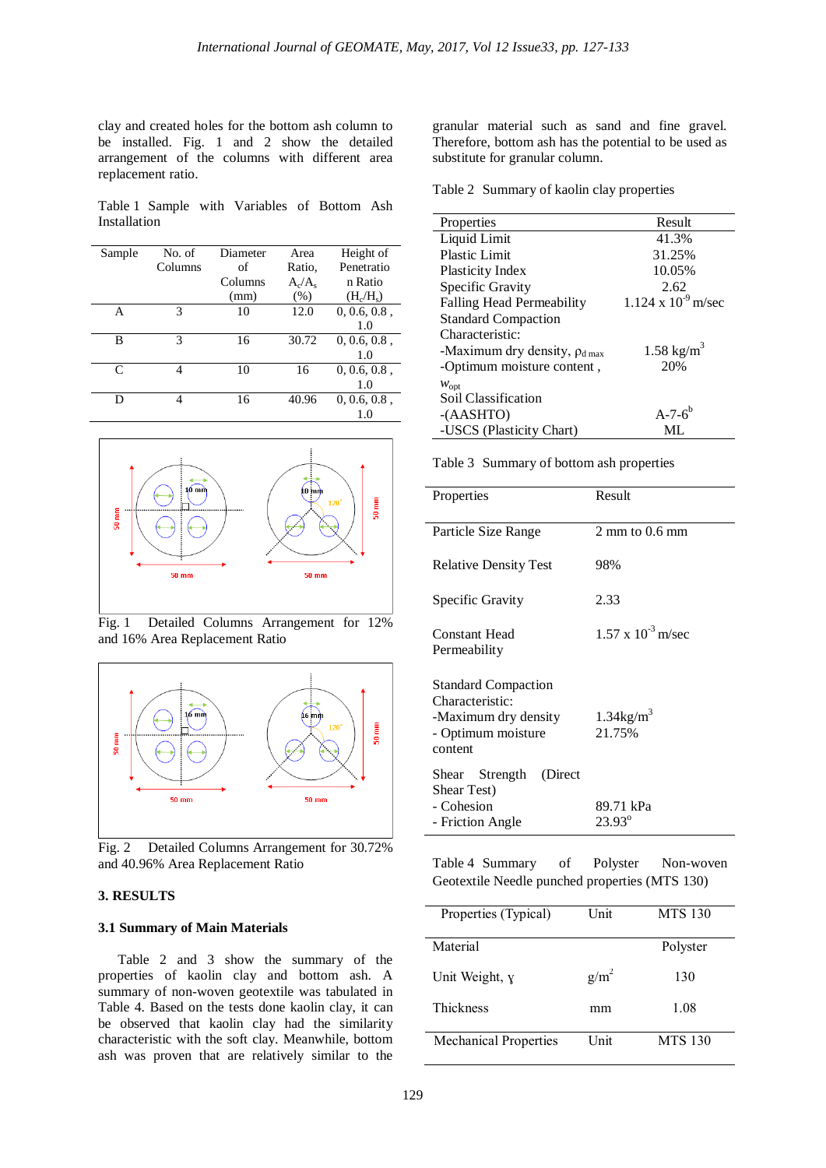clay and created holes for the bottom ash column to be installed. Fig. 1 and 2 show the detailed arrangement of the columns with different area replacement ratio.

Table 1 Sample with Variables of Bottom Ash Installation

| Sample | No. of  | Diameter | Area      | Height of       |
|--------|---------|----------|-----------|-----------------|
|        | Columns | of       | Ratio,    | Penetratio      |
|        |         | Columns  | $A_c/A_s$ | n Ratio         |
|        |         | (mm)     | (% )      | $(H_c/H_s)$     |
| А      | 3       | 10       | 12.0      | 0, 0.6, 0.8,    |
|        |         |          |           | 1.0             |
| В      | 3       | 16       | 30.72     | $0, 0.6, 0.8$ , |
|        |         |          |           | 1.0             |
| C      |         | 10       | 16        | $0, 0.6, 0.8$ , |
|        |         |          |           | 1.0             |
| D      | 4       | 16       | 40.96     | $0, 0.6, 0.8$ , |
|        |         |          |           |                 |



Fig. 1 Detailed Columns Arrangement for 12% and 16% Area Replacement Ratio



Fig. 2 Detailed Columns Arrangement for 30.72% and 40.96% Area Replacement Ratio

### **3. RESULTS**

### **3.1 Summary of Main Materials**

Table 2 and 3 show the summary of the properties of kaolin clay and bottom ash. A summary of non-woven geotextile was tabulated in Table 4. Based on the tests done kaolin clay, it can be observed that kaolin clay had the similarity characteristic with the soft clay. Meanwhile, bottom ash was proven that are relatively similar to the

granular material such as sand and fine gravel. Therefore, bottom ash has the potential to be used as substitute for granular column.

Table 2 Summary of kaolin clay properties

| Properties                           | Result                       |
|--------------------------------------|------------------------------|
| Liquid Limit                         | 41.3%                        |
| <b>Plastic Limit</b>                 | 31.25%                       |
| Plasticity Index                     | 10.05%                       |
| Specific Gravity                     | 2.62                         |
| <b>Falling Head Permeability</b>     | $1.124 \times 10^{-9}$ m/sec |
| <b>Standard Compaction</b>           |                              |
| Characteristic:                      |                              |
| -Maximum dry density, $\rho_{d,max}$ | $1.58 \text{ kg/m}^3$        |
| -Optimum moisture content,           | 20%                          |
| $W_{\text{opt}}$                     |                              |
| Soil Classification                  |                              |
| $-(AASHTO)$                          | $A - 7 - 6^b$                |
| -USCS (Plasticity Chart)             | ML                           |

Table 3 Summary of bottom ash properties

| Result                             |
|------------------------------------|
| $2 \text{ mm}$ to 0.6 mm           |
| 98%                                |
| 2.33                               |
| $1.57 \times 10^{-3}$ m/sec        |
|                                    |
| $1.34$ kg/m <sup>3</sup><br>21.75% |
|                                    |
|                                    |
| 89.71 kPa<br>$23.93^{\circ}$       |
|                                    |

Table 4 Summary of Polyster Non-woven Geotextile Needle punched properties (MTS 130)

| Properties (Typical)         | Unit        | <b>MTS 130</b> |
|------------------------------|-------------|----------------|
|                              |             |                |
| Material                     |             | Polyster       |
|                              |             |                |
|                              |             |                |
| Unit Weight, y               | $g/m^2$     | 130            |
|                              |             |                |
| <b>Thickness</b>             | mm          | 1.08           |
|                              |             |                |
| <b>Mechanical Properties</b> | <b>Unit</b> | <b>MTS 130</b> |
|                              |             |                |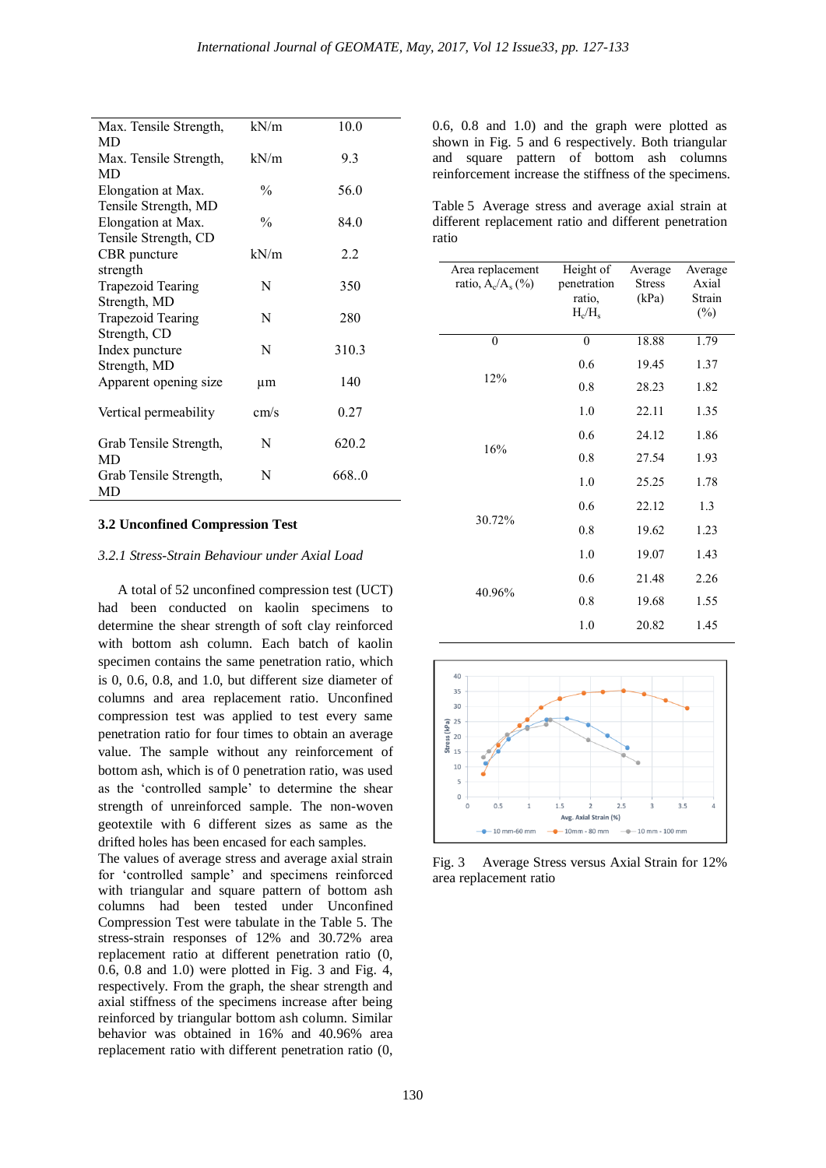| Max. Tensile Strength,   | kN/m          | 10.0  |
|--------------------------|---------------|-------|
| MD                       |               |       |
| Max. Tensile Strength,   | kN/m          | 9.3   |
| MD                       |               |       |
| Elongation at Max.       | $\frac{0}{0}$ | 56.0  |
| Tensile Strength, MD     |               |       |
| Elongation at Max.       | $\frac{0}{0}$ | 84.0  |
| Tensile Strength, CD     |               |       |
| CBR puncture             | kN/m          | 2.2   |
| strength                 |               |       |
| <b>Trapezoid Tearing</b> | N             | 350   |
| Strength, MD             |               |       |
| <b>Trapezoid Tearing</b> | N             | 280   |
| Strength, CD             |               |       |
| Index puncture           | N             | 310.3 |
| Strength, MD             |               |       |
| Apparent opening size    | μm            | 140   |
| Vertical permeability    | cm/s          | 0.27  |
| Grab Tensile Strength,   | N             | 620.2 |
| MD                       |               |       |
| Grab Tensile Strength,   | N             | 668.0 |
| MD                       |               |       |

#### **3.2 Unconfined Compression Test**

#### *3.2.1 Stress-Strain Behaviour under Axial Load*

A total of 52 unconfined compression test (UCT) had been conducted on kaolin specimens to determine the shear strength of soft clay reinforced with bottom ash column. Each batch of kaolin specimen contains the same penetration ratio, which is 0, 0.6, 0.8, and 1.0, but different size diameter of columns and area replacement ratio. Unconfined compression test was applied to test every same penetration ratio for four times to obtain an average value. The sample without any reinforcement of bottom ash, which is of 0 penetration ratio, was used as the 'controlled sample' to determine the shear strength of unreinforced sample. The non-woven geotextile with 6 different sizes as same as the drifted holes has been encased for each samples.

The values of average stress and average axial strain for 'controlled sample' and specimens reinforced with triangular and square pattern of bottom ash columns had been tested under Unconfined Compression Test were tabulate in the Table 5. The stress-strain responses of 12% and 30.72% area replacement ratio at different penetration ratio (0, 0.6, 0.8 and 1.0) were plotted in Fig. 3 and Fig. 4, respectively. From the graph, the shear strength and axial stiffness of the specimens increase after being reinforced by triangular bottom ash column. Similar behavior was obtained in 16% and 40.96% area replacement ratio with different penetration ratio (0,

0.6, 0.8 and 1.0) and the graph were plotted as shown in Fig. 5 and 6 respectively. Both triangular and square pattern of bottom ash columns reinforcement increase the stiffness of the specimens.

Table 5 Average stress and average axial strain at different replacement ratio and different penetration ratio

| Area replacement<br>ratio, $A_c/A_s$ (%) | Height of<br>penetration<br>ratio,<br>$H_c/H_s$ | Average<br><b>Stress</b><br>(kPa) | Average<br>Axial<br>Strain<br>$(\%)$ |
|------------------------------------------|-------------------------------------------------|-----------------------------------|--------------------------------------|
| $\boldsymbol{0}$                         | $\boldsymbol{0}$                                | 18.88                             | 1.79                                 |
|                                          | 0.6                                             | 19.45                             | 1.37                                 |
| 12%                                      | 0.8                                             | 28.23                             | 1.82                                 |
|                                          | 1.0                                             | 22.11                             | 1.35                                 |
|                                          | 0.6                                             | 24.12                             | 1.86                                 |
| 16%                                      | 0.8                                             | 27.54                             | 1.93                                 |
|                                          | 1.0                                             | 25.25                             | 1.78                                 |
|                                          | 0.6                                             | 22.12                             | 1.3                                  |
| 30.72%                                   | 0.8                                             | 19.62                             | 1.23                                 |
|                                          | 1.0                                             | 19.07                             | 1.43                                 |
|                                          | 0.6                                             | 21.48                             | 2.26                                 |
| 40.96%                                   | 0.8                                             | 19.68                             | 1.55                                 |
|                                          | 1.0                                             | 20.82                             | 1.45                                 |



Fig. 3 Average Stress versus Axial Strain for 12% area replacement ratio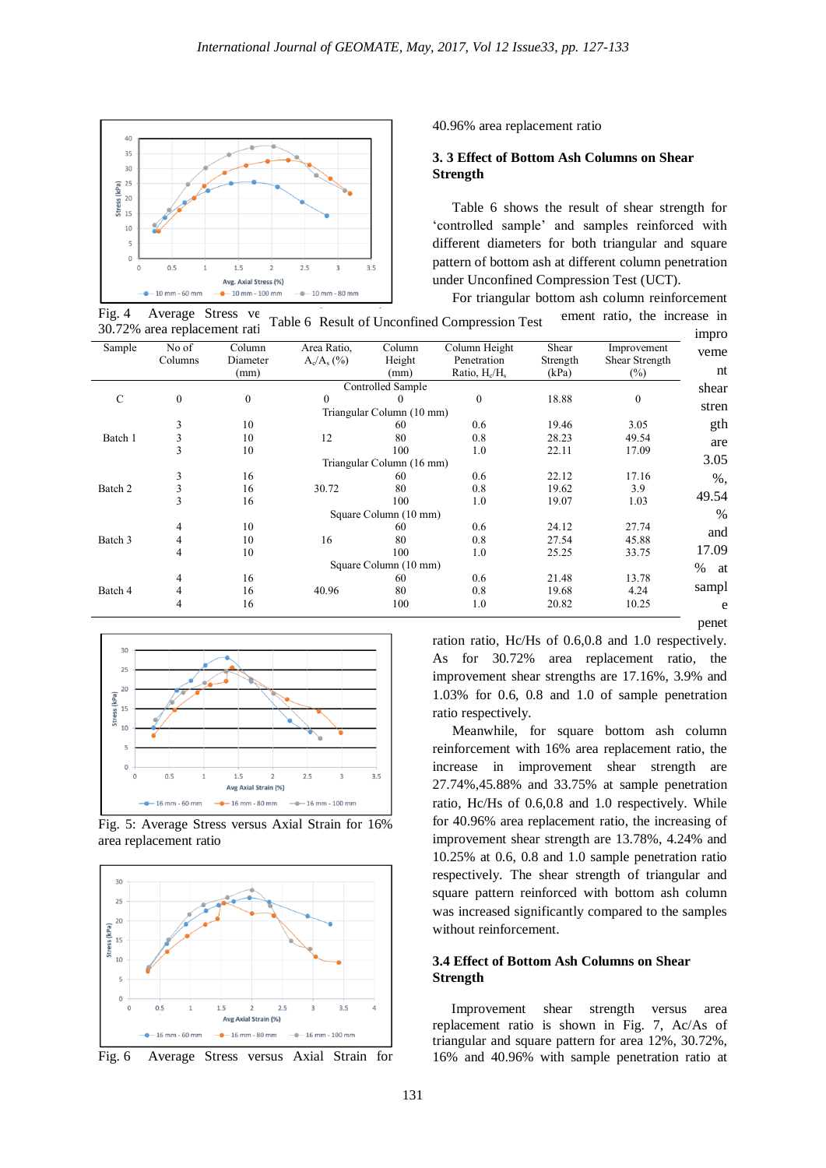

40.96% area replacement ratio

### **3. 3 Effect of Bottom Ash Columns on Shear Strength**

Table 6 shows the result of shear strength for 'controlled sample' and samples reinforced with different diameters for both triangular and square pattern of bottom ash at different column penetration under Unconfined Compression Test (UCT).

For triangular bottom ash column reinforcement

impro

Fig. 4 Average Stress ve 30.72% area replacement rati ement ratio, the increase in Table 6 Result of Unconfined Compression Test

| Sample  | No of            | Column           | Area Ratio,   | Column                    | Column Height    | Shear    | Improvement      |
|---------|------------------|------------------|---------------|---------------------------|------------------|----------|------------------|
|         | Columns          | Diameter         | $A_c/A_s$ (%) | Height                    | Penetration      | Strength | Shear Strength   |
|         |                  | (mm)             |               | (mm)                      | Ratio, $H_c/H_s$ | (kPa)    | $(\%)$           |
|         |                  |                  |               | Controlled Sample         |                  |          |                  |
| C       | $\boldsymbol{0}$ | $\boldsymbol{0}$ | $\theta$      |                           | $\mathbf{0}$     | 18.88    | $\boldsymbol{0}$ |
|         |                  |                  |               | Triangular Column (10 mm) |                  |          |                  |
|         | 3                | 10               |               | 60                        | 0.6              | 19.46    | 3.05             |
| Batch 1 | 3                | 10               | 12            | 80                        | 0.8              | 28.23    | 49.54            |
|         | 3                | 10               |               | 100                       | 1.0              | 22.11    | 17.09            |
|         |                  |                  |               | Triangular Column (16 mm) |                  |          |                  |
|         | 3                | 16               |               | 60                        | 0.6              | 22.12    | 17.16            |
| Batch 2 | 3                | 16               | 30.72         | 80                        | 0.8              | 19.62    | 3.9              |
|         | 3                | 16               |               | 100                       | 1.0              | 19.07    | 1.03             |
|         |                  |                  |               | Square Column (10 mm)     |                  |          |                  |
|         | 4                | 10               |               | 60                        | 0.6              | 24.12    | 27.74            |
| Batch 3 | 4                | 10               | 16            | 80                        | 0.8              | 27.54    | 45.88            |
|         | 4                | 10               |               | 100                       | 1.0              | 25.25    | 33.75            |
|         |                  |                  |               | Square Column (10 mm)     |                  |          |                  |
|         | 4                | 16               |               | 60                        | 0.6              | 21.48    | 13.78            |
| Batch 4 | 4                | 16               | 40.96         | 80                        | 0.8              | 19.68    | 4.24             |
|         | 4                | 16               |               | 100                       | 1.0              | 20.82    | 10.25            |
|         |                  |                  |               |                           |                  |          |                  |



Fig. 5: Average Stress versus Axial Strain for 16% area replacement ratio



ration ratio, Hc/Hs of 0.6,0.8 and 1.0 respectively. As for 30.72% area replacement ratio, the improvement shear strengths are 17.16%, 3.9% and 1.03% for 0.6, 0.8 and 1.0 of sample penetration ratio respectively.

Meanwhile, for square bottom ash column reinforcement with 16% area replacement ratio, the increase in improvement shear strength are 27.74%,45.88% and 33.75% at sample penetration ratio, Hc/Hs of 0.6,0.8 and 1.0 respectively. While for 40.96% area replacement ratio, the increasing of improvement shear strength are 13.78%, 4.24% and 10.25% at 0.6, 0.8 and 1.0 sample penetration ratio respectively. The shear strength of triangular and square pattern reinforced with bottom ash column was increased significantly compared to the samples without reinforcement.

# **3.4 Effect of Bottom Ash Columns on Shear Strength**

Improvement shear strength versus area replacement ratio is shown in Fig. 7, Ac/As of triangular and square pattern for area 12%, 30.72%, 16% and 40.96% with sample penetration ratio at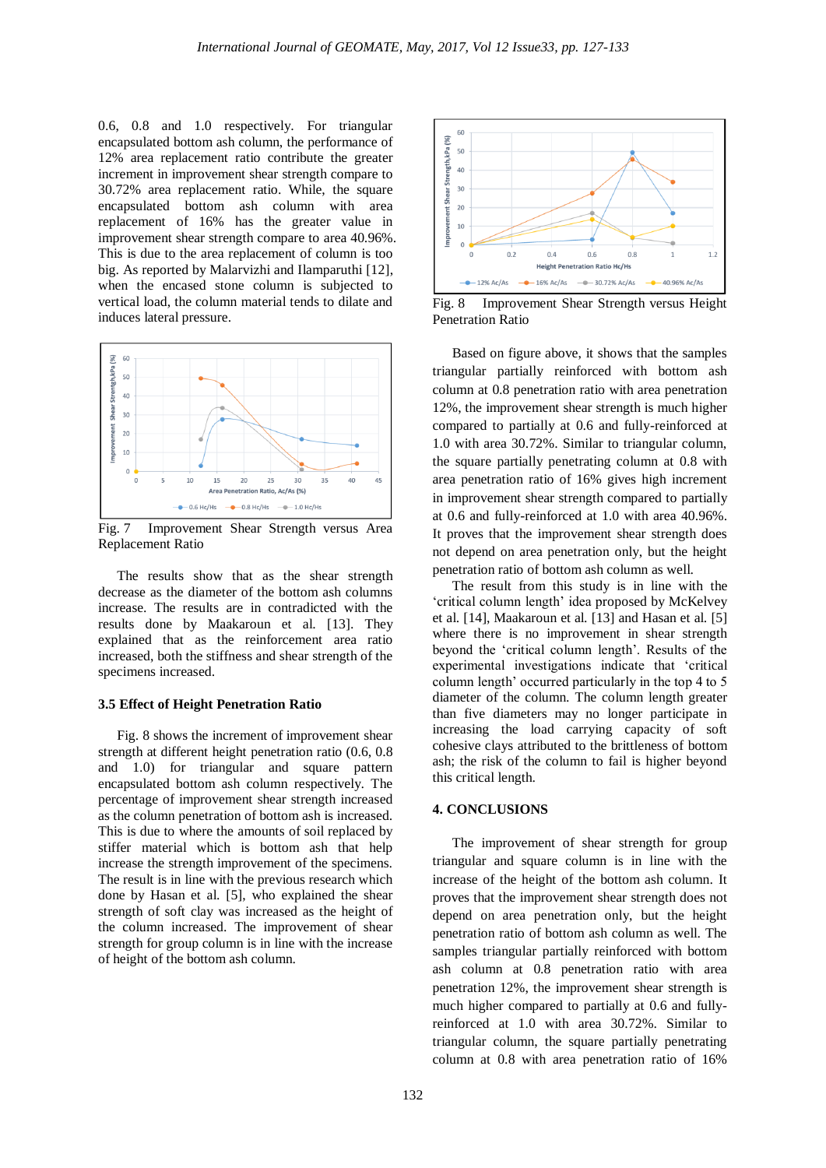0.6, 0.8 and 1.0 respectively. For triangular encapsulated bottom ash column, the performance of 12% area replacement ratio contribute the greater increment in improvement shear strength compare to 30.72% area replacement ratio. While, the square encapsulated bottom ash column with area replacement of 16% has the greater value in improvement shear strength compare to area 40.96%. This is due to the area replacement of column is too big. As reported by Malarvizhi and Ilamparuthi [12], when the encased stone column is subjected to vertical load, the column material tends to dilate and induces lateral pressure.



Fig. 7 Improvement Shear Strength versus Area Replacement Ratio

The results show that as the shear strength decrease as the diameter of the bottom ash columns increase. The results are in contradicted with the results done by Maakaroun et al. [13]. They explained that as the reinforcement area ratio increased, both the stiffness and shear strength of the specimens increased.

#### **3.5 Effect of Height Penetration Ratio**

Fig. 8 shows the increment of improvement shear strength at different height penetration ratio (0.6, 0.8 and 1.0) for triangular and square pattern encapsulated bottom ash column respectively. The percentage of improvement shear strength increased as the column penetration of bottom ash is increased. This is due to where the amounts of soil replaced by stiffer material which is bottom ash that help increase the strength improvement of the specimens. The result is in line with the previous research which done by Hasan et al. [5], who explained the shear strength of soft clay was increased as the height of the column increased. The improvement of shear strength for group column is in line with the increase of height of the bottom ash column.



Fig. 8 Improvement Shear Strength versus Height Penetration Ratio

Based on figure above, it shows that the samples triangular partially reinforced with bottom ash column at 0.8 penetration ratio with area penetration 12%, the improvement shear strength is much higher compared to partially at 0.6 and fully-reinforced at 1.0 with area 30.72%. Similar to triangular column, the square partially penetrating column at 0.8 with area penetration ratio of 16% gives high increment in improvement shear strength compared to partially at 0.6 and fully-reinforced at 1.0 with area 40.96%. It proves that the improvement shear strength does not depend on area penetration only, but the height penetration ratio of bottom ash column as well.

The result from this study is in line with the 'critical column length' idea proposed by McKelvey et al. [14], Maakaroun et al. [13] and Hasan et al. [5] where there is no improvement in shear strength beyond the 'critical column length'. Results of the experimental investigations indicate that 'critical column length' occurred particularly in the top 4 to 5 diameter of the column. The column length greater than five diameters may no longer participate in increasing the load carrying capacity of soft cohesive clays attributed to the brittleness of bottom ash; the risk of the column to fail is higher beyond this critical length.

### **4. CONCLUSIONS**

The improvement of shear strength for group triangular and square column is in line with the increase of the height of the bottom ash column. It proves that the improvement shear strength does not depend on area penetration only, but the height penetration ratio of bottom ash column as well. The samples triangular partially reinforced with bottom ash column at 0.8 penetration ratio with area penetration 12%, the improvement shear strength is much higher compared to partially at 0.6 and fullyreinforced at 1.0 with area 30.72%. Similar to triangular column, the square partially penetrating column at 0.8 with area penetration ratio of 16%